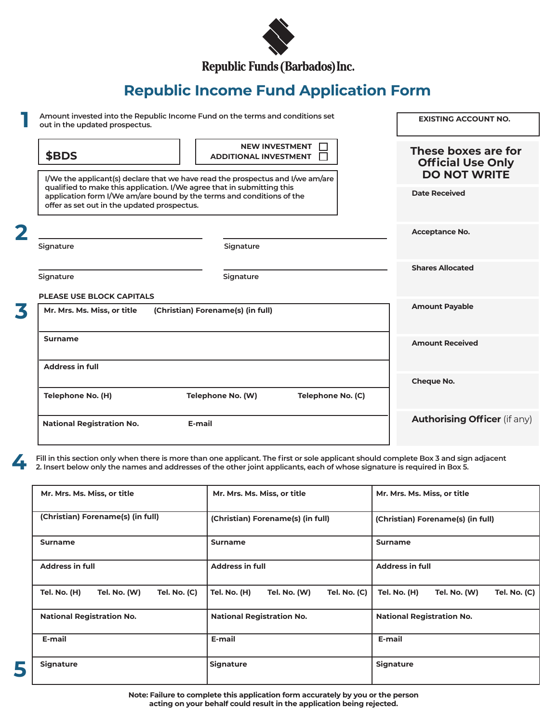

**Republic Income Fund Application Form** 

| out in the updated prospectus.              | Amount invested into the Republic Income Fund on the terms and conditions set                                                                            |                   | <b>EXISTING ACCOUNT NO.</b>                     |
|---------------------------------------------|----------------------------------------------------------------------------------------------------------------------------------------------------------|-------------------|-------------------------------------------------|
| \$BDS                                       | <b>NEW INVESTMENT</b><br><b>ADDITIONAL INVESTMENT</b>                                                                                                    |                   | These boxes are for<br><b>Official Use Only</b> |
|                                             | I/We the applicant(s) declare that we have read the prospectus and I/we am/are<br>qualified to make this application. I/We agree that in submitting this |                   | <b>DO NOT WRITE</b>                             |
| offer as set out in the updated prospectus. | application form I/We am/are bound by the terms and conditions of the                                                                                    |                   | <b>Date Received</b>                            |
|                                             |                                                                                                                                                          |                   | Acceptance No.                                  |
| Signature                                   | Signature                                                                                                                                                |                   |                                                 |
| Signature                                   | Signature                                                                                                                                                |                   | <b>Shares Allocated</b>                         |
| <b>PLEASE USE BLOCK CAPITALS</b>            |                                                                                                                                                          |                   |                                                 |
| Mr. Mrs. Ms. Miss, or title                 | (Christian) Forename(s) (in full)                                                                                                                        |                   | <b>Amount Payable</b>                           |
| <b>Surname</b>                              |                                                                                                                                                          |                   | <b>Amount Received</b>                          |
| <b>Address in full</b>                      |                                                                                                                                                          |                   |                                                 |
|                                             |                                                                                                                                                          |                   | Cheque No.                                      |
|                                             | Telephone No. (W)                                                                                                                                        | Telephone No. (C) |                                                 |
| Telephone No. (H)                           |                                                                                                                                                          |                   |                                                 |

**4**

**Fill in this section only when there is more than one applicant. The first or sole applicant should complete Box 3 and sign adjacent 2. Insert below only the names and addresses of the other joint applicants, each of whose signature is required in Box 5.**

| Mr. Mrs. Ms. Miss, or title                         | Mr. Mrs. Ms. Miss, or title                                | Mr. Mrs. Ms. Miss, or title                                       |
|-----------------------------------------------------|------------------------------------------------------------|-------------------------------------------------------------------|
| (Christian) Forename(s) (in full)                   | (Christian) Forename(s) (in full)                          | (Christian) Forename(s) (in full)                                 |
| <b>Surname</b>                                      | <b>Surname</b>                                             | <b>Surname</b>                                                    |
| <b>Address in full</b>                              | <b>Address in full</b>                                     | <b>Address in full</b>                                            |
| <b>Tel. No. (C)</b><br>Tel. No. (H)<br>Tel. No. (W) | <b>Tel. No. (C)</b><br><b>Tel. No. (H)</b><br>Tel. No. (W) | <b>Tel. No. (C)</b><br><b>Tel. No. (H)</b><br><b>Tel. No. (W)</b> |
| <b>National Registration No.</b>                    | <b>National Registration No.</b>                           | <b>National Registration No.</b>                                  |
| E-mail                                              | E-mail                                                     | E-mail                                                            |
| <b>Signature</b>                                    | <b>Signature</b>                                           | <b>Signature</b>                                                  |

**5**